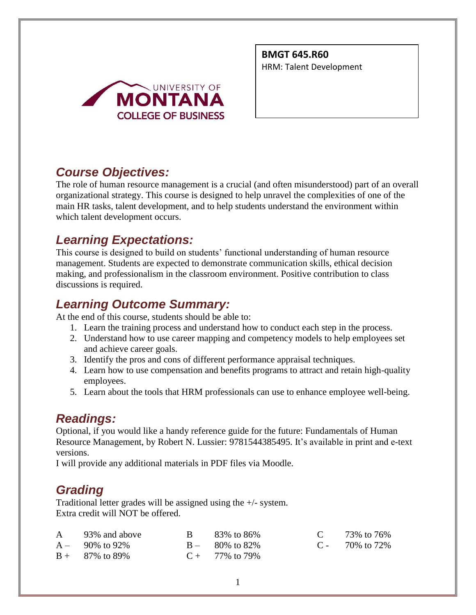

**BMGT 645.R60** HRM: Talent Development

# *Course Objectives:*

The role of human resource management is a crucial (and often misunderstood) part of an overall organizational strategy. This course is designed to help unravel the complexities of one of the main HR tasks, talent development, and to help students understand the environment within which talent development occurs.

# *Learning Expectations:*

This course is designed to build on students' functional understanding of human resource management. Students are expected to demonstrate communication skills, ethical decision making, and professionalism in the classroom environment. Positive contribution to class discussions is required.

# *Learning Outcome Summary:*

At the end of this course, students should be able to:

- 1. Learn the training process and understand how to conduct each step in the process.
- 2. Understand how to use career mapping and competency models to help employees set and achieve career goals.
- 3. Identify the pros and cons of different performance appraisal techniques.
- 4. Learn how to use compensation and benefits programs to attract and retain high-quality employees.
- 5. Learn about the tools that HRM professionals can use to enhance employee well-being.

# *Readings:*

Optional, if you would like a handy reference guide for the future: Fundamentals of Human Resource Management, by Robert N. Lussier: 9781544385495. It's available in print and e-text versions.

I will provide any additional materials in PDF files via Moodle.

# *Grading*

Traditional letter grades will be assigned using the +/- system. Extra credit will NOT be offered.

| A 93% and above    | $\rm{B}$ 83% to 86% | C $73\%$ to $76\%$ |
|--------------------|---------------------|--------------------|
| $A - 90\%$ to 92\% | $B - 80\%$ to 82\%  | $C - 70\%$ to 72\% |
| $B + 87\%$ to 89%  | $C + 77\%$ to 79%   |                    |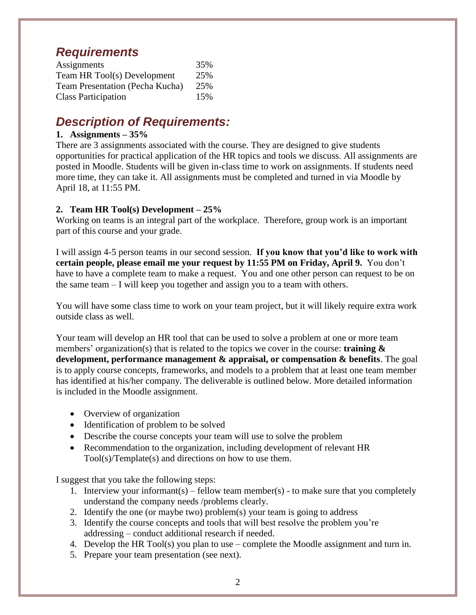## *Requirements*

| Assignments                            | 35% |
|----------------------------------------|-----|
| Team HR Tool(s) Development            | 25% |
| <b>Team Presentation (Pecha Kucha)</b> | 25% |
| <b>Class Participation</b>             | 15% |

## *Description of Requirements:*

#### **1. Assignments – 35%**

There are 3 assignments associated with the course. They are designed to give students opportunities for practical application of the HR topics and tools we discuss. All assignments are posted in Moodle. Students will be given in-class time to work on assignments. If students need more time, they can take it. All assignments must be completed and turned in via Moodle by April 18, at 11:55 PM.

### **2. Team HR Tool(s) Development – 25%**

Working on teams is an integral part of the workplace. Therefore, group work is an important part of this course and your grade.

I will assign 4-5 person teams in our second session. **If you know that you'd like to work with certain people, please email me your request by 11:55 PM on Friday, April 9.** You don't have to have a complete team to make a request. You and one other person can request to be on the same team – I will keep you together and assign you to a team with others.

You will have some class time to work on your team project, but it will likely require extra work outside class as well.

Your team will develop an HR tool that can be used to solve a problem at one or more team members' organization(s) that is related to the topics we cover in the course: **training & development, performance management & appraisal, or compensation & benefits**. The goal is to apply course concepts, frameworks, and models to a problem that at least one team member has identified at his/her company. The deliverable is outlined below. More detailed information is included in the Moodle assignment.

- Overview of organization
- Identification of problem to be solved
- Describe the course concepts your team will use to solve the problem
- Recommendation to the organization, including development of relevant HR Tool(s)/Template(s) and directions on how to use them.

I suggest that you take the following steps:

- 1. Interview your informant(s) fellow team member(s) to make sure that you completely understand the company needs /problems clearly.
- 2. Identify the one (or maybe two) problem(s) your team is going to address
- 3. Identify the course concepts and tools that will best resolve the problem you're addressing – conduct additional research if needed.
- 4. Develop the HR Tool(s) you plan to use complete the Moodle assignment and turn in.
- 5. Prepare your team presentation (see next).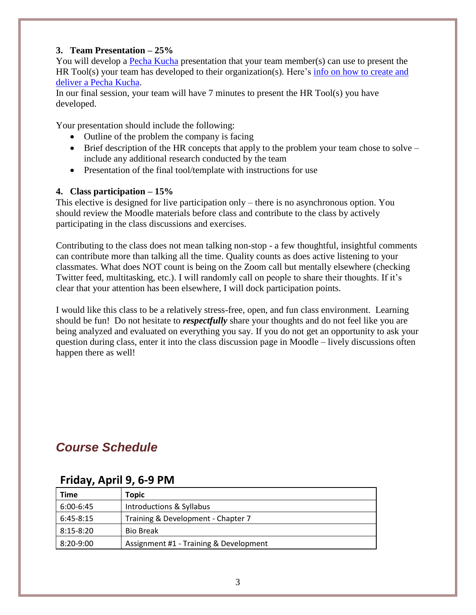### **3. Team Presentation – 25%**

You will develop a [Pecha Kucha](https://www.pechakucha.com/) presentation that your team member(s) can use to present the HR Tool(s) your team has developed to their organization(s). Here's [info on how to create and](https://paulgordonbrown.com/2014/12/13/your-ultimate-guide-to-giving-pechakucha-presentations/)  [deliver a Pecha Kucha.](https://paulgordonbrown.com/2014/12/13/your-ultimate-guide-to-giving-pechakucha-presentations/)

In our final session, your team will have 7 minutes to present the HR Tool(s) you have developed.

Your presentation should include the following:

- Outline of the problem the company is facing
- Brief description of the HR concepts that apply to the problem your team chose to solve include any additional research conducted by the team
- Presentation of the final tool/template with instructions for use

### **4. Class participation – 15%**

This elective is designed for live participation only – there is no asynchronous option. You should review the Moodle materials before class and contribute to the class by actively participating in the class discussions and exercises.

Contributing to the class does not mean talking non-stop - a few thoughtful, insightful comments can contribute more than talking all the time. Quality counts as does active listening to your classmates. What does NOT count is being on the Zoom call but mentally elsewhere (checking Twitter feed, multitasking, etc.). I will randomly call on people to share their thoughts. If it's clear that your attention has been elsewhere, I will dock participation points.

I would like this class to be a relatively stress-free, open, and fun class environment. Learning should be fun! Do not hesitate to *respectfully* share your thoughts and do not feel like you are being analyzed and evaluated on everything you say. If you do not get an opportunity to ask your question during class, enter it into the class discussion page in Moodle – lively discussions often happen there as well!

# *Course Schedule*

| <b>Time</b> | Topic                                  |  |
|-------------|----------------------------------------|--|
| 6:00-6:45   | Introductions & Syllabus               |  |
| 6:45-8:15   | Training & Development - Chapter 7     |  |
| 8:15-8:20   | <b>Bio Break</b>                       |  |
| 8:20-9:00   | Assignment #1 - Training & Development |  |

## **Friday, April 9, 6-9 PM**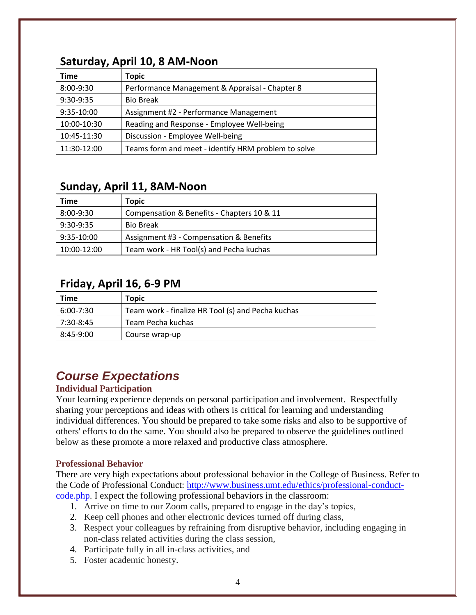## **Time Topic** 8:00-9:30 Performance Management & Appraisal - Chapter 8 9:30-9:35 Bio Break 9:35-10:00 Assignment #2 - Performance Management 10:00-10:30 Reading and Response - Employee Well-being 10:45-11:30 Discussion - Employee Well-being 11:30-12:00 Teams form and meet - identify HRM problem to solve

## **Saturday, April 10, 8 AM-Noon**

## **Sunday, April 11, 8AM-Noon**

| Time        | Topic                                      |
|-------------|--------------------------------------------|
| 8:00-9:30   | Compensation & Benefits - Chapters 10 & 11 |
| $9:30-9:35$ | <b>Bio Break</b>                           |
| 9:35-10:00  | Assignment #3 - Compensation & Benefits    |
| 10:00-12:00 | Team work - HR Tool(s) and Pecha kuchas    |

## **Friday, April 16, 6-9 PM**

| <b>Time</b> | Topic                                             |
|-------------|---------------------------------------------------|
| 6:00-7:30   | Team work - finalize HR Tool (s) and Pecha kuchas |
| 7:30-8:45   | Team Pecha kuchas                                 |
| 8:45-9:00   | Course wrap-up                                    |

# *Course Expectations*

### **Individual Participation**

Your learning experience depends on personal participation and involvement. Respectfully sharing your perceptions and ideas with others is critical for learning and understanding individual differences. You should be prepared to take some risks and also to be supportive of others' efforts to do the same. You should also be prepared to observe the guidelines outlined below as these promote a more relaxed and productive class atmosphere.

### **Professional Behavior**

There are very high expectations about professional behavior in the College of Business. Refer to the Code of Professional Conduct: [http://www.business.umt.edu/ethics/professional-conduct](http://www.business.umt.edu/ethics/professional-conduct-code.php)[code.php.](http://www.business.umt.edu/ethics/professional-conduct-code.php) I expect the following professional behaviors in the classroom:

- 1. Arrive on time to our Zoom calls, prepared to engage in the day's topics,
- 2. Keep cell phones and other electronic devices turned off during class,
- 3. Respect your colleagues by refraining from disruptive behavior, including engaging in non-class related activities during the class session,
- 4. Participate fully in all in-class activities, and
- 5. Foster academic honesty.